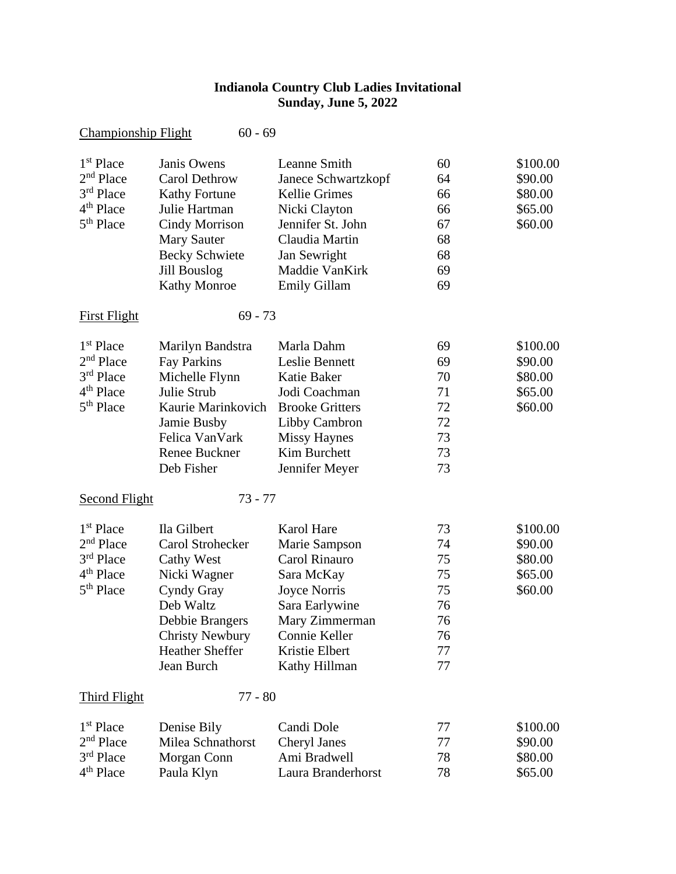## **Indianola Country Club Ladies Invitational Sunday, June 5, 2022**

| <b>Championship Flight</b> | $60 - 69$              |                        |    |          |
|----------------------------|------------------------|------------------------|----|----------|
| 1 <sup>st</sup> Place      | Janis Owens            | Leanne Smith           | 60 | \$100.00 |
| 2 <sup>nd</sup> Place      | <b>Carol Dethrow</b>   | Janece Schwartzkopf    | 64 | \$90.00  |
| 3rd Place                  | <b>Kathy Fortune</b>   | <b>Kellie Grimes</b>   | 66 | \$80.00  |
| 4 <sup>th</sup> Place      | Julie Hartman          | Nicki Clayton          | 66 | \$65.00  |
| 5 <sup>th</sup> Place      | <b>Cindy Morrison</b>  | Jennifer St. John      | 67 | \$60.00  |
|                            | <b>Mary Sauter</b>     | Claudia Martin         | 68 |          |
|                            | <b>Becky Schwiete</b>  | Jan Sewright           | 68 |          |
|                            | <b>Jill Bouslog</b>    | Maddie VanKirk         | 69 |          |
|                            | <b>Kathy Monroe</b>    | <b>Emily Gillam</b>    | 69 |          |
| <b>First Flight</b>        | $69 - 73$              |                        |    |          |
| 1 <sup>st</sup> Place      | Marilyn Bandstra       | Marla Dahm             | 69 | \$100.00 |
| 2 <sup>nd</sup> Place      | <b>Fay Parkins</b>     | Leslie Bennett         | 69 | \$90.00  |
| 3rd Place                  | Michelle Flynn         | <b>Katie Baker</b>     | 70 | \$80.00  |
| 4 <sup>th</sup> Place      | Julie Strub            | Jodi Coachman          | 71 | \$65.00  |
| 5 <sup>th</sup> Place      | Kaurie Marinkovich     | <b>Brooke Gritters</b> | 72 | \$60.00  |
|                            | Jamie Busby            | Libby Cambron          | 72 |          |
|                            | Felica VanVark         | <b>Missy Haynes</b>    | 73 |          |
|                            | Renee Buckner          | Kim Burchett           | 73 |          |
|                            | Deb Fisher             | Jennifer Meyer         | 73 |          |
| <b>Second Flight</b>       | $73 - 77$              |                        |    |          |
| 1 <sup>st</sup> Place      | Ila Gilbert            | Karol Hare             | 73 | \$100.00 |
| 2 <sup>nd</sup> Place      | Carol Strohecker       | Marie Sampson          | 74 | \$90.00  |
| 3rd Place                  | <b>Cathy West</b>      | Carol Rinauro          | 75 | \$80.00  |
| 4 <sup>th</sup> Place      | Nicki Wagner           | Sara McKay             | 75 | \$65.00  |
| 5 <sup>th</sup> Place      | Cyndy Gray             | <b>Joyce Norris</b>    | 75 | \$60.00  |
|                            | Deb Waltz              | Sara Earlywine         | 76 |          |
|                            | Debbie Brangers        | Mary Zimmerman         | 76 |          |
|                            | <b>Christy Newbury</b> | Connie Keller          | 76 |          |
|                            | <b>Heather Sheffer</b> | Kristie Elbert         | 77 |          |
|                            | Jean Burch             | Kathy Hillman          | 77 |          |
| <b>Third Flight</b>        | $77 - 80$              |                        |    |          |
| 1 <sup>st</sup> Place      | Denise Bily            | Candi Dole             | 77 | \$100.00 |
| 2 <sup>nd</sup> Place      | Milea Schnathorst      | Cheryl Janes           | 77 | \$90.00  |
| 3rd Place                  | Morgan Conn            | Ami Bradwell           | 78 | \$80.00  |
| 4 <sup>th</sup> Place      | Paula Klyn             | Laura Branderhorst     | 78 | \$65.00  |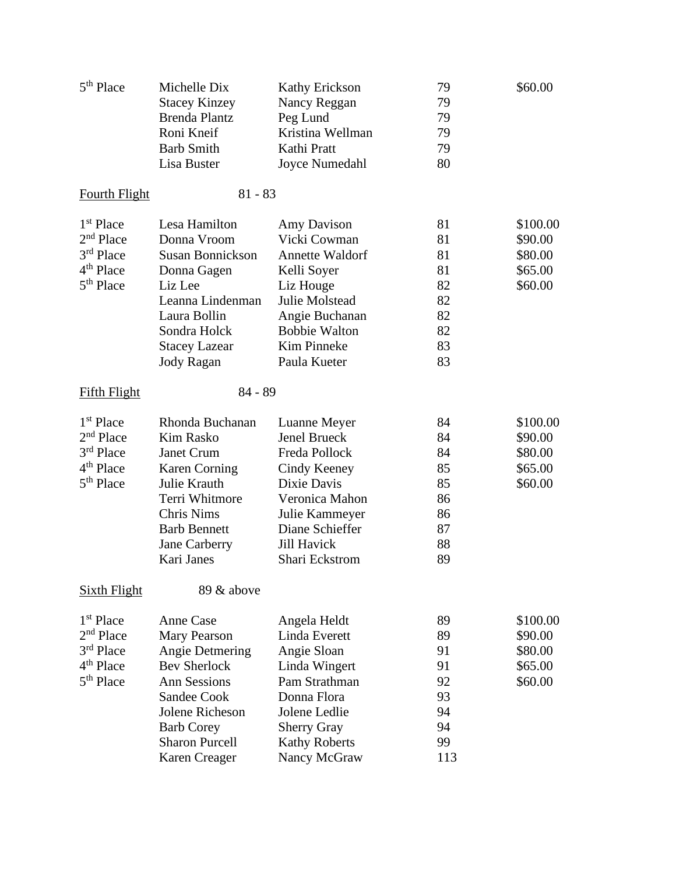| 79<br><b>Stacey Kinzey</b><br>Nancy Reggan<br><b>Brenda Plantz</b><br>Peg Lund<br>79<br>Roni Kneif<br>Kristina Wellman<br>79<br><b>Barb Smith</b><br>Kathi Pratt<br>79<br>Lisa Buster<br>Joyce Numedahl<br>80<br>$81 - 83$<br><b>Fourth Flight</b><br>1 <sup>st</sup> Place<br>Lesa Hamilton<br>81<br>\$100.00<br>Amy Davison<br>$2nd$ Place<br>Donna Vroom<br>Vicki Cowman<br>81<br>\$90.00<br>$3rd$ Place<br><b>Susan Bonnickson</b><br><b>Annette Waldorf</b><br>81<br>\$80.00<br>81<br>\$65.00<br>Donna Gagen<br>Kelli Soyer<br>$5th$ Place<br>Liz Lee<br>Liz Houge<br>82<br>\$60.00<br>Julie Molstead<br>82<br>Leanna Lindenman<br>Angie Buchanan<br>Laura Bollin<br>82<br><b>Bobbie Walton</b><br>82<br>Sondra Holck<br>83<br><b>Kim Pinneke</b><br><b>Stacey Lazear</b><br>Paula Kueter<br>Jody Ragan<br>83<br>$84 - 89$<br><b>Fifth Flight</b><br>1 <sup>st</sup> Place<br>Rhonda Buchanan<br>84<br>\$100.00<br>Luanne Meyer<br>2 <sup>nd</sup> Place<br><b>Jenel Brueck</b><br><b>Kim Rasko</b><br>84<br>\$90.00<br>3rd Place<br>Janet Crum<br>Freda Pollock<br>84<br>\$80.00<br><b>Karen Corning</b><br>Cindy Keeney<br>85<br>\$65.00<br>$5th$ Place<br>Julie Krauth<br>Dixie Davis<br>85<br>\$60.00<br>Terri Whitmore<br>Veronica Mahon<br>86<br><b>Chris Nims</b><br>Julie Kammeyer<br>86<br>Diane Schieffer<br><b>Barb Bennett</b><br>87<br><b>Jill Havick</b><br>88<br>Jane Carberry<br>Kari Janes<br>Shari Eckstrom<br>89<br>89 & above<br>Sixth Flight<br>1 <sup>st</sup> Place<br><b>Anne Case</b><br>89<br>\$100.00<br>Angela Heldt<br>$2nd$ Place<br>Linda Everett<br>Mary Pearson<br>89<br>\$90.00<br>$3rd$ Place<br>Angie Detmering<br>Angie Sloan<br>91<br>\$80.00<br>4 <sup>th</sup> Place<br><b>Bev Sherlock</b><br>91<br>\$65.00<br>Linda Wingert | 5 <sup>th</sup> Place | Michelle Dix        | <b>Kathy Erickson</b> | 79 | \$60.00 |
|----------------------------------------------------------------------------------------------------------------------------------------------------------------------------------------------------------------------------------------------------------------------------------------------------------------------------------------------------------------------------------------------------------------------------------------------------------------------------------------------------------------------------------------------------------------------------------------------------------------------------------------------------------------------------------------------------------------------------------------------------------------------------------------------------------------------------------------------------------------------------------------------------------------------------------------------------------------------------------------------------------------------------------------------------------------------------------------------------------------------------------------------------------------------------------------------------------------------------------------------------------------------------------------------------------------------------------------------------------------------------------------------------------------------------------------------------------------------------------------------------------------------------------------------------------------------------------------------------------------------------------------------------------------------------------------------------------------------------------------------------------------------------|-----------------------|---------------------|-----------------------|----|---------|
|                                                                                                                                                                                                                                                                                                                                                                                                                                                                                                                                                                                                                                                                                                                                                                                                                                                                                                                                                                                                                                                                                                                                                                                                                                                                                                                                                                                                                                                                                                                                                                                                                                                                                                                                                                            |                       |                     |                       |    |         |
|                                                                                                                                                                                                                                                                                                                                                                                                                                                                                                                                                                                                                                                                                                                                                                                                                                                                                                                                                                                                                                                                                                                                                                                                                                                                                                                                                                                                                                                                                                                                                                                                                                                                                                                                                                            |                       |                     |                       |    |         |
|                                                                                                                                                                                                                                                                                                                                                                                                                                                                                                                                                                                                                                                                                                                                                                                                                                                                                                                                                                                                                                                                                                                                                                                                                                                                                                                                                                                                                                                                                                                                                                                                                                                                                                                                                                            |                       |                     |                       |    |         |
|                                                                                                                                                                                                                                                                                                                                                                                                                                                                                                                                                                                                                                                                                                                                                                                                                                                                                                                                                                                                                                                                                                                                                                                                                                                                                                                                                                                                                                                                                                                                                                                                                                                                                                                                                                            |                       |                     |                       |    |         |
|                                                                                                                                                                                                                                                                                                                                                                                                                                                                                                                                                                                                                                                                                                                                                                                                                                                                                                                                                                                                                                                                                                                                                                                                                                                                                                                                                                                                                                                                                                                                                                                                                                                                                                                                                                            |                       |                     |                       |    |         |
|                                                                                                                                                                                                                                                                                                                                                                                                                                                                                                                                                                                                                                                                                                                                                                                                                                                                                                                                                                                                                                                                                                                                                                                                                                                                                                                                                                                                                                                                                                                                                                                                                                                                                                                                                                            |                       |                     |                       |    |         |
|                                                                                                                                                                                                                                                                                                                                                                                                                                                                                                                                                                                                                                                                                                                                                                                                                                                                                                                                                                                                                                                                                                                                                                                                                                                                                                                                                                                                                                                                                                                                                                                                                                                                                                                                                                            |                       |                     |                       |    |         |
|                                                                                                                                                                                                                                                                                                                                                                                                                                                                                                                                                                                                                                                                                                                                                                                                                                                                                                                                                                                                                                                                                                                                                                                                                                                                                                                                                                                                                                                                                                                                                                                                                                                                                                                                                                            |                       |                     |                       |    |         |
|                                                                                                                                                                                                                                                                                                                                                                                                                                                                                                                                                                                                                                                                                                                                                                                                                                                                                                                                                                                                                                                                                                                                                                                                                                                                                                                                                                                                                                                                                                                                                                                                                                                                                                                                                                            |                       |                     |                       |    |         |
|                                                                                                                                                                                                                                                                                                                                                                                                                                                                                                                                                                                                                                                                                                                                                                                                                                                                                                                                                                                                                                                                                                                                                                                                                                                                                                                                                                                                                                                                                                                                                                                                                                                                                                                                                                            |                       |                     |                       |    |         |
|                                                                                                                                                                                                                                                                                                                                                                                                                                                                                                                                                                                                                                                                                                                                                                                                                                                                                                                                                                                                                                                                                                                                                                                                                                                                                                                                                                                                                                                                                                                                                                                                                                                                                                                                                                            | 4 <sup>th</sup> Place |                     |                       |    |         |
|                                                                                                                                                                                                                                                                                                                                                                                                                                                                                                                                                                                                                                                                                                                                                                                                                                                                                                                                                                                                                                                                                                                                                                                                                                                                                                                                                                                                                                                                                                                                                                                                                                                                                                                                                                            |                       |                     |                       |    |         |
|                                                                                                                                                                                                                                                                                                                                                                                                                                                                                                                                                                                                                                                                                                                                                                                                                                                                                                                                                                                                                                                                                                                                                                                                                                                                                                                                                                                                                                                                                                                                                                                                                                                                                                                                                                            |                       |                     |                       |    |         |
|                                                                                                                                                                                                                                                                                                                                                                                                                                                                                                                                                                                                                                                                                                                                                                                                                                                                                                                                                                                                                                                                                                                                                                                                                                                                                                                                                                                                                                                                                                                                                                                                                                                                                                                                                                            |                       |                     |                       |    |         |
|                                                                                                                                                                                                                                                                                                                                                                                                                                                                                                                                                                                                                                                                                                                                                                                                                                                                                                                                                                                                                                                                                                                                                                                                                                                                                                                                                                                                                                                                                                                                                                                                                                                                                                                                                                            |                       |                     |                       |    |         |
|                                                                                                                                                                                                                                                                                                                                                                                                                                                                                                                                                                                                                                                                                                                                                                                                                                                                                                                                                                                                                                                                                                                                                                                                                                                                                                                                                                                                                                                                                                                                                                                                                                                                                                                                                                            |                       |                     |                       |    |         |
|                                                                                                                                                                                                                                                                                                                                                                                                                                                                                                                                                                                                                                                                                                                                                                                                                                                                                                                                                                                                                                                                                                                                                                                                                                                                                                                                                                                                                                                                                                                                                                                                                                                                                                                                                                            |                       |                     |                       |    |         |
|                                                                                                                                                                                                                                                                                                                                                                                                                                                                                                                                                                                                                                                                                                                                                                                                                                                                                                                                                                                                                                                                                                                                                                                                                                                                                                                                                                                                                                                                                                                                                                                                                                                                                                                                                                            |                       |                     |                       |    |         |
|                                                                                                                                                                                                                                                                                                                                                                                                                                                                                                                                                                                                                                                                                                                                                                                                                                                                                                                                                                                                                                                                                                                                                                                                                                                                                                                                                                                                                                                                                                                                                                                                                                                                                                                                                                            |                       |                     |                       |    |         |
|                                                                                                                                                                                                                                                                                                                                                                                                                                                                                                                                                                                                                                                                                                                                                                                                                                                                                                                                                                                                                                                                                                                                                                                                                                                                                                                                                                                                                                                                                                                                                                                                                                                                                                                                                                            |                       |                     |                       |    |         |
|                                                                                                                                                                                                                                                                                                                                                                                                                                                                                                                                                                                                                                                                                                                                                                                                                                                                                                                                                                                                                                                                                                                                                                                                                                                                                                                                                                                                                                                                                                                                                                                                                                                                                                                                                                            |                       |                     |                       |    |         |
|                                                                                                                                                                                                                                                                                                                                                                                                                                                                                                                                                                                                                                                                                                                                                                                                                                                                                                                                                                                                                                                                                                                                                                                                                                                                                                                                                                                                                                                                                                                                                                                                                                                                                                                                                                            |                       |                     |                       |    |         |
|                                                                                                                                                                                                                                                                                                                                                                                                                                                                                                                                                                                                                                                                                                                                                                                                                                                                                                                                                                                                                                                                                                                                                                                                                                                                                                                                                                                                                                                                                                                                                                                                                                                                                                                                                                            | 4 <sup>th</sup> Place |                     |                       |    |         |
|                                                                                                                                                                                                                                                                                                                                                                                                                                                                                                                                                                                                                                                                                                                                                                                                                                                                                                                                                                                                                                                                                                                                                                                                                                                                                                                                                                                                                                                                                                                                                                                                                                                                                                                                                                            |                       |                     |                       |    |         |
|                                                                                                                                                                                                                                                                                                                                                                                                                                                                                                                                                                                                                                                                                                                                                                                                                                                                                                                                                                                                                                                                                                                                                                                                                                                                                                                                                                                                                                                                                                                                                                                                                                                                                                                                                                            |                       |                     |                       |    |         |
|                                                                                                                                                                                                                                                                                                                                                                                                                                                                                                                                                                                                                                                                                                                                                                                                                                                                                                                                                                                                                                                                                                                                                                                                                                                                                                                                                                                                                                                                                                                                                                                                                                                                                                                                                                            |                       |                     |                       |    |         |
|                                                                                                                                                                                                                                                                                                                                                                                                                                                                                                                                                                                                                                                                                                                                                                                                                                                                                                                                                                                                                                                                                                                                                                                                                                                                                                                                                                                                                                                                                                                                                                                                                                                                                                                                                                            |                       |                     |                       |    |         |
|                                                                                                                                                                                                                                                                                                                                                                                                                                                                                                                                                                                                                                                                                                                                                                                                                                                                                                                                                                                                                                                                                                                                                                                                                                                                                                                                                                                                                                                                                                                                                                                                                                                                                                                                                                            |                       |                     |                       |    |         |
|                                                                                                                                                                                                                                                                                                                                                                                                                                                                                                                                                                                                                                                                                                                                                                                                                                                                                                                                                                                                                                                                                                                                                                                                                                                                                                                                                                                                                                                                                                                                                                                                                                                                                                                                                                            |                       |                     |                       |    |         |
|                                                                                                                                                                                                                                                                                                                                                                                                                                                                                                                                                                                                                                                                                                                                                                                                                                                                                                                                                                                                                                                                                                                                                                                                                                                                                                                                                                                                                                                                                                                                                                                                                                                                                                                                                                            |                       |                     |                       |    |         |
|                                                                                                                                                                                                                                                                                                                                                                                                                                                                                                                                                                                                                                                                                                                                                                                                                                                                                                                                                                                                                                                                                                                                                                                                                                                                                                                                                                                                                                                                                                                                                                                                                                                                                                                                                                            |                       |                     |                       |    |         |
|                                                                                                                                                                                                                                                                                                                                                                                                                                                                                                                                                                                                                                                                                                                                                                                                                                                                                                                                                                                                                                                                                                                                                                                                                                                                                                                                                                                                                                                                                                                                                                                                                                                                                                                                                                            |                       |                     |                       |    |         |
|                                                                                                                                                                                                                                                                                                                                                                                                                                                                                                                                                                                                                                                                                                                                                                                                                                                                                                                                                                                                                                                                                                                                                                                                                                                                                                                                                                                                                                                                                                                                                                                                                                                                                                                                                                            |                       |                     |                       |    |         |
|                                                                                                                                                                                                                                                                                                                                                                                                                                                                                                                                                                                                                                                                                                                                                                                                                                                                                                                                                                                                                                                                                                                                                                                                                                                                                                                                                                                                                                                                                                                                                                                                                                                                                                                                                                            |                       |                     |                       |    |         |
|                                                                                                                                                                                                                                                                                                                                                                                                                                                                                                                                                                                                                                                                                                                                                                                                                                                                                                                                                                                                                                                                                                                                                                                                                                                                                                                                                                                                                                                                                                                                                                                                                                                                                                                                                                            | $5th$ Place           | <b>Ann Sessions</b> | Pam Strathman         | 92 | \$60.00 |
| <b>Sandee Cook</b><br>Donna Flora<br>93                                                                                                                                                                                                                                                                                                                                                                                                                                                                                                                                                                                                                                                                                                                                                                                                                                                                                                                                                                                                                                                                                                                                                                                                                                                                                                                                                                                                                                                                                                                                                                                                                                                                                                                                    |                       |                     |                       |    |         |
| Jolene Ledlie<br>94<br>Jolene Richeson                                                                                                                                                                                                                                                                                                                                                                                                                                                                                                                                                                                                                                                                                                                                                                                                                                                                                                                                                                                                                                                                                                                                                                                                                                                                                                                                                                                                                                                                                                                                                                                                                                                                                                                                     |                       |                     |                       |    |         |
| 94<br><b>Barb Corey</b><br><b>Sherry Gray</b>                                                                                                                                                                                                                                                                                                                                                                                                                                                                                                                                                                                                                                                                                                                                                                                                                                                                                                                                                                                                                                                                                                                                                                                                                                                                                                                                                                                                                                                                                                                                                                                                                                                                                                                              |                       |                     |                       |    |         |
| <b>Sharon Purcell</b><br>99<br><b>Kathy Roberts</b>                                                                                                                                                                                                                                                                                                                                                                                                                                                                                                                                                                                                                                                                                                                                                                                                                                                                                                                                                                                                                                                                                                                                                                                                                                                                                                                                                                                                                                                                                                                                                                                                                                                                                                                        |                       |                     |                       |    |         |
| Karen Creager<br>Nancy McGraw<br>113                                                                                                                                                                                                                                                                                                                                                                                                                                                                                                                                                                                                                                                                                                                                                                                                                                                                                                                                                                                                                                                                                                                                                                                                                                                                                                                                                                                                                                                                                                                                                                                                                                                                                                                                       |                       |                     |                       |    |         |